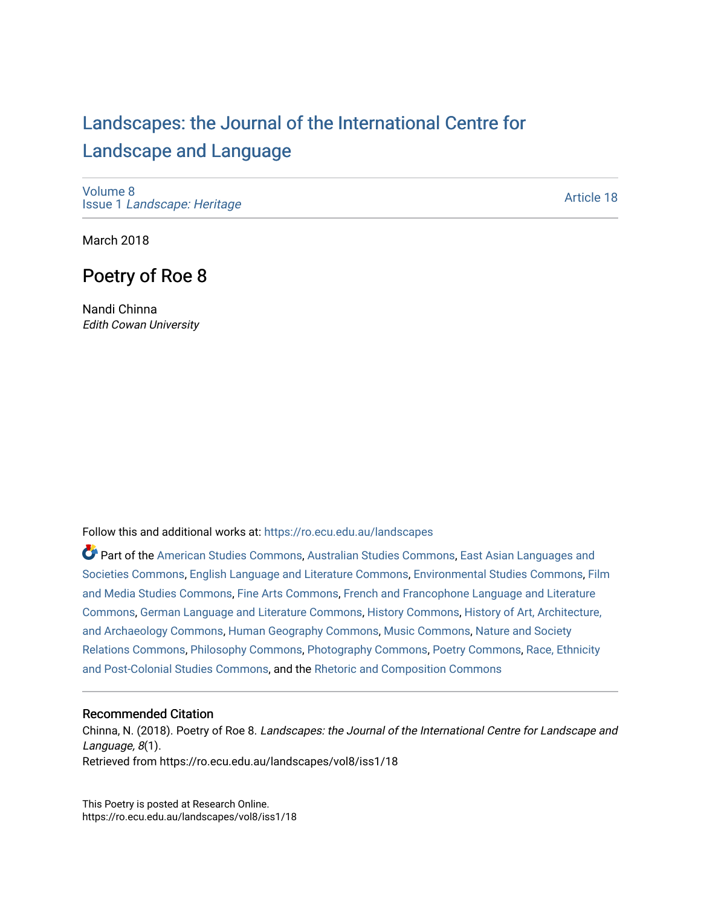## [Landscapes: the Journal of the International Centre for](https://ro.ecu.edu.au/landscapes) [Landscape and Language](https://ro.ecu.edu.au/landscapes)

[Volume 8](https://ro.ecu.edu.au/landscapes/vol8) Issue 1 [Landscape: Heritage](https://ro.ecu.edu.au/landscapes/vol8/iss1)

[Article 18](https://ro.ecu.edu.au/landscapes/vol8/iss1/18) 

March 2018

### Poetry of Roe 8

Nandi Chinna Edith Cowan University

Follow this and additional works at: [https://ro.ecu.edu.au/landscapes](https://ro.ecu.edu.au/landscapes?utm_source=ro.ecu.edu.au%2Flandscapes%2Fvol8%2Fiss1%2F18&utm_medium=PDF&utm_campaign=PDFCoverPages) 

Part of the [American Studies Commons](http://network.bepress.com/hgg/discipline/439?utm_source=ro.ecu.edu.au%2Flandscapes%2Fvol8%2Fiss1%2F18&utm_medium=PDF&utm_campaign=PDFCoverPages), [Australian Studies Commons,](http://network.bepress.com/hgg/discipline/1020?utm_source=ro.ecu.edu.au%2Flandscapes%2Fvol8%2Fiss1%2F18&utm_medium=PDF&utm_campaign=PDFCoverPages) [East Asian Languages and](http://network.bepress.com/hgg/discipline/481?utm_source=ro.ecu.edu.au%2Flandscapes%2Fvol8%2Fiss1%2F18&utm_medium=PDF&utm_campaign=PDFCoverPages)  [Societies Commons](http://network.bepress.com/hgg/discipline/481?utm_source=ro.ecu.edu.au%2Flandscapes%2Fvol8%2Fiss1%2F18&utm_medium=PDF&utm_campaign=PDFCoverPages), [English Language and Literature Commons,](http://network.bepress.com/hgg/discipline/455?utm_source=ro.ecu.edu.au%2Flandscapes%2Fvol8%2Fiss1%2F18&utm_medium=PDF&utm_campaign=PDFCoverPages) [Environmental Studies Commons](http://network.bepress.com/hgg/discipline/1333?utm_source=ro.ecu.edu.au%2Flandscapes%2Fvol8%2Fiss1%2F18&utm_medium=PDF&utm_campaign=PDFCoverPages), [Film](http://network.bepress.com/hgg/discipline/563?utm_source=ro.ecu.edu.au%2Flandscapes%2Fvol8%2Fiss1%2F18&utm_medium=PDF&utm_campaign=PDFCoverPages)  [and Media Studies Commons,](http://network.bepress.com/hgg/discipline/563?utm_source=ro.ecu.edu.au%2Flandscapes%2Fvol8%2Fiss1%2F18&utm_medium=PDF&utm_campaign=PDFCoverPages) [Fine Arts Commons,](http://network.bepress.com/hgg/discipline/1141?utm_source=ro.ecu.edu.au%2Flandscapes%2Fvol8%2Fiss1%2F18&utm_medium=PDF&utm_campaign=PDFCoverPages) [French and Francophone Language and Literature](http://network.bepress.com/hgg/discipline/463?utm_source=ro.ecu.edu.au%2Flandscapes%2Fvol8%2Fiss1%2F18&utm_medium=PDF&utm_campaign=PDFCoverPages) [Commons](http://network.bepress.com/hgg/discipline/463?utm_source=ro.ecu.edu.au%2Flandscapes%2Fvol8%2Fiss1%2F18&utm_medium=PDF&utm_campaign=PDFCoverPages), [German Language and Literature Commons,](http://network.bepress.com/hgg/discipline/467?utm_source=ro.ecu.edu.au%2Flandscapes%2Fvol8%2Fiss1%2F18&utm_medium=PDF&utm_campaign=PDFCoverPages) [History Commons](http://network.bepress.com/hgg/discipline/489?utm_source=ro.ecu.edu.au%2Flandscapes%2Fvol8%2Fiss1%2F18&utm_medium=PDF&utm_campaign=PDFCoverPages), [History of Art, Architecture,](http://network.bepress.com/hgg/discipline/510?utm_source=ro.ecu.edu.au%2Flandscapes%2Fvol8%2Fiss1%2F18&utm_medium=PDF&utm_campaign=PDFCoverPages)  [and Archaeology Commons](http://network.bepress.com/hgg/discipline/510?utm_source=ro.ecu.edu.au%2Flandscapes%2Fvol8%2Fiss1%2F18&utm_medium=PDF&utm_campaign=PDFCoverPages), [Human Geography Commons,](http://network.bepress.com/hgg/discipline/356?utm_source=ro.ecu.edu.au%2Flandscapes%2Fvol8%2Fiss1%2F18&utm_medium=PDF&utm_campaign=PDFCoverPages) [Music Commons,](http://network.bepress.com/hgg/discipline/518?utm_source=ro.ecu.edu.au%2Flandscapes%2Fvol8%2Fiss1%2F18&utm_medium=PDF&utm_campaign=PDFCoverPages) [Nature and Society](http://network.bepress.com/hgg/discipline/357?utm_source=ro.ecu.edu.au%2Flandscapes%2Fvol8%2Fiss1%2F18&utm_medium=PDF&utm_campaign=PDFCoverPages)  [Relations Commons,](http://network.bepress.com/hgg/discipline/357?utm_source=ro.ecu.edu.au%2Flandscapes%2Fvol8%2Fiss1%2F18&utm_medium=PDF&utm_campaign=PDFCoverPages) [Philosophy Commons](http://network.bepress.com/hgg/discipline/525?utm_source=ro.ecu.edu.au%2Flandscapes%2Fvol8%2Fiss1%2F18&utm_medium=PDF&utm_campaign=PDFCoverPages), [Photography Commons,](http://network.bepress.com/hgg/discipline/1142?utm_source=ro.ecu.edu.au%2Flandscapes%2Fvol8%2Fiss1%2F18&utm_medium=PDF&utm_campaign=PDFCoverPages) [Poetry Commons](http://network.bepress.com/hgg/discipline/1153?utm_source=ro.ecu.edu.au%2Flandscapes%2Fvol8%2Fiss1%2F18&utm_medium=PDF&utm_campaign=PDFCoverPages), [Race, Ethnicity](http://network.bepress.com/hgg/discipline/566?utm_source=ro.ecu.edu.au%2Flandscapes%2Fvol8%2Fiss1%2F18&utm_medium=PDF&utm_campaign=PDFCoverPages) [and Post-Colonial Studies Commons,](http://network.bepress.com/hgg/discipline/566?utm_source=ro.ecu.edu.au%2Flandscapes%2Fvol8%2Fiss1%2F18&utm_medium=PDF&utm_campaign=PDFCoverPages) and the [Rhetoric and Composition Commons](http://network.bepress.com/hgg/discipline/573?utm_source=ro.ecu.edu.au%2Flandscapes%2Fvol8%2Fiss1%2F18&utm_medium=PDF&utm_campaign=PDFCoverPages) 

#### Recommended Citation

Chinna, N. (2018). Poetry of Roe 8. Landscapes: the Journal of the International Centre for Landscape and Language, 8(1). Retrieved from https://ro.ecu.edu.au/landscapes/vol8/iss1/18

This Poetry is posted at Research Online. https://ro.ecu.edu.au/landscapes/vol8/iss1/18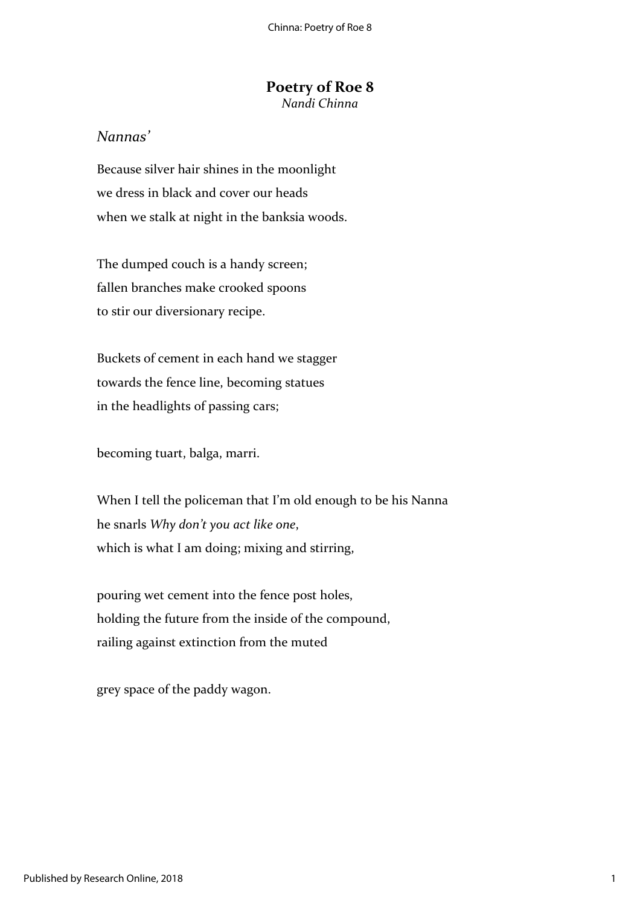# **Poetry of Roe 8**

*Nandi Chinna*

### *Nannas'*

Because silver hair shines in the moonlight we dress in black and cover our heads when we stalk at night in the banksia woods.

The dumped couch is a handy screen; fallen branches make crooked spoons to stir our diversionary recipe.

Buckets of cement in each hand we stagger towards the fence line, becoming statues in the headlights of passing cars;

becoming tuart, balga, marri.

When I tell the policeman that I'm old enough to be his Nanna he snarls *Why don't you act like one*, which is what I am doing; mixing and stirring,

pouring wet cement into the fence post holes, holding the future from the inside of the compound, railing against extinction from the muted

grey space of the paddy wagon.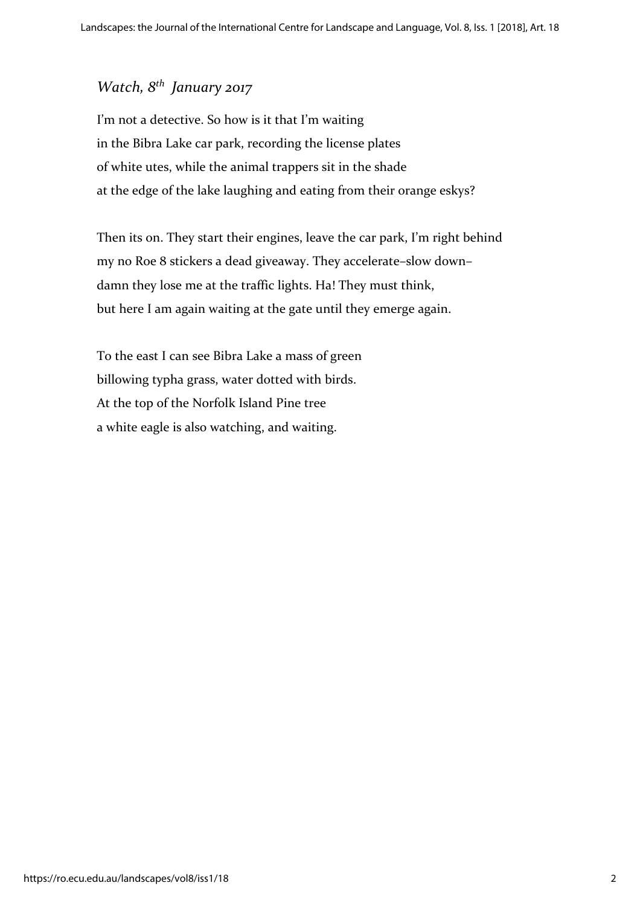## *Watch, 8th January 2017*

I'm not a detective. So how is it that I'm waiting in the Bibra Lake car park, recording the license plates of white utes, while the animal trappers sit in the shade at the edge of the lake laughing and eating from their orange eskys?

Then its on. They start their engines, leave the car park, I'm right behind my no Roe 8 stickers a dead giveaway. They accelerate–slow down– damn they lose me at the traffic lights. Ha! They must think, but here I am again waiting at the gate until they emerge again.

To the east I can see Bibra Lake a mass of green billowing typha grass, water dotted with birds. At the top of the Norfolk Island Pine tree a white eagle is also watching, and waiting.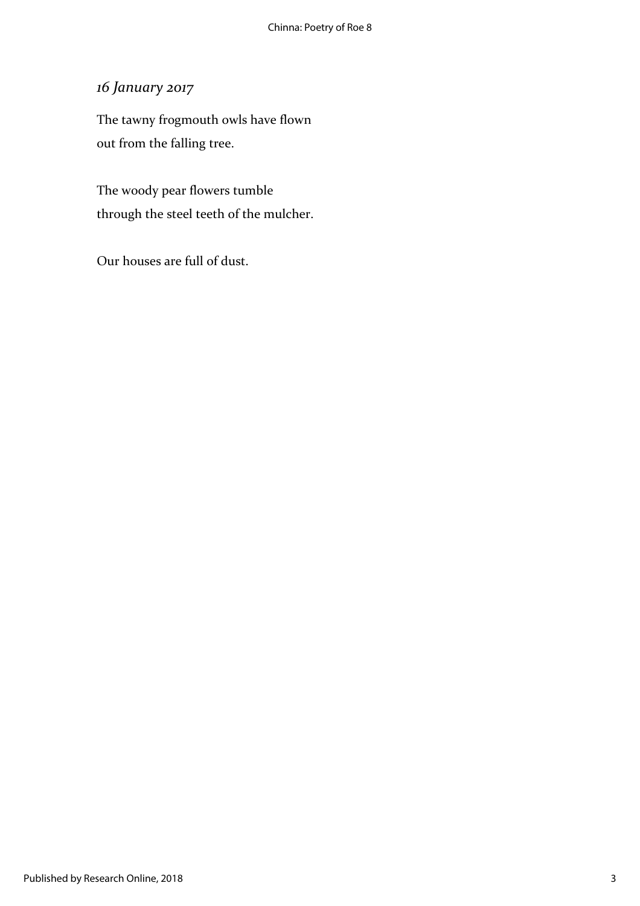## *16 January 2017*

The tawny frogmouth owls have flown out from the falling tree.

The woody pear flowers tumble through the steel teeth of the mulcher.

Our houses are full of dust.